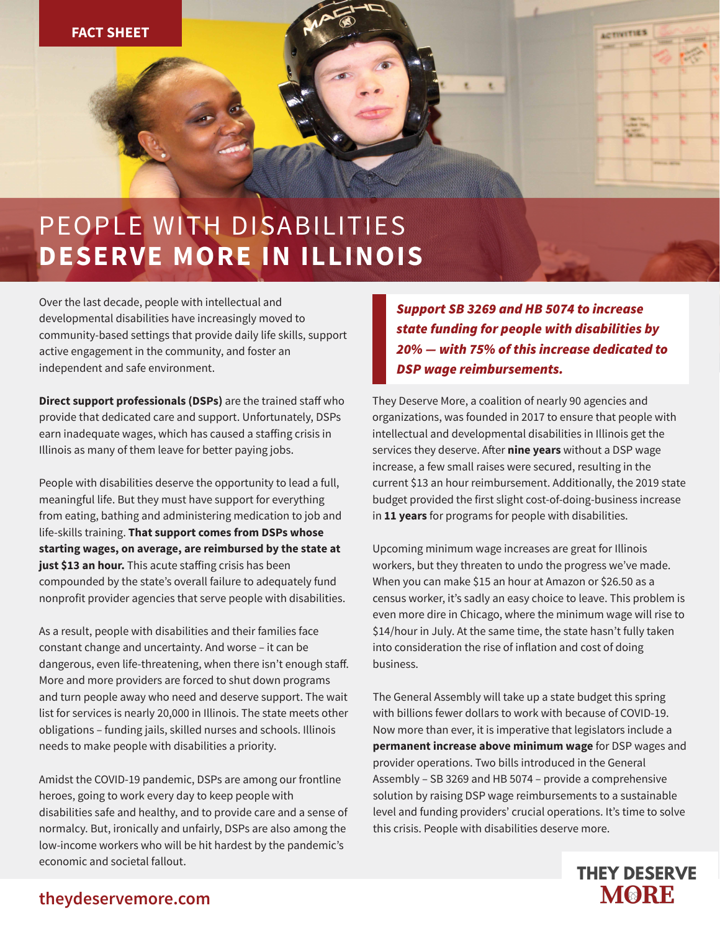# PEOPLE WITH DISABILITIES **DESERVE MORE IN ILLINOIS**

Over the last decade, people with intellectual and developmental disabilities have increasingly moved to community-based settings that provide daily life skills, support active engagement in the community, and foster an independent and safe environment.

**Direct support professionals (DSPs)** are the trained staff who provide that dedicated care and support. Unfortunately, DSPs earn inadequate wages, which has caused a staffing crisis in Illinois as many of them leave for better paying jobs.

People with disabilities deserve the opportunity to lead a full, meaningful life. But they must have support for everything from eating, bathing and administering medication to job and life-skills training. **That support comes from DSPs whose starting wages, on average, are reimbursed by the state at**  just \$13 an hour. This acute staffing crisis has been compounded by the state's overall failure to adequately fund nonprofit provider agencies that serve people with disabilities.

As a result, people with disabilities and their families face constant change and uncertainty. And worse – it can be dangerous, even life-threatening, when there isn't enough staff. More and more providers are forced to shut down programs and turn people away who need and deserve support. The wait list for services is nearly 20,000 in Illinois. The state meets other obligations – funding jails, skilled nurses and schools. Illinois needs to make people with disabilities a priority.

Amidst the COVID-19 pandemic, DSPs are among our frontline heroes, going to work every day to keep people with disabilities safe and healthy, and to provide care and a sense of normalcy. But, ironically and unfairly, DSPs are also among the low-income workers who will be hit hardest by the pandemic's economic and societal fallout.

**Support SB 3269 and HB 5074 to increase** state funding for people with disabilities by 20% — with 75% of this increase dedicated to **DSP** wage reimbursements.

ACTIVITIES

They Deserve More, a coalition of nearly 90 agencies and organizations, was founded in 2017 to ensure that people with intellectual and developmental disabilities in Illinois get the services they deserve. After **nine years** without a DSP wage increase, a few small raises were secured, resulting in the current \$13 an hour reimbursement. Additionally, the 2019 state budget provided the first slight cost-of-doing-business increase in **11 years** for programs for people with disabilities.

Upcoming minimum wage increases are great for Illinois workers, but they threaten to undo the progress we've made. When you can make \$15 an hour at Amazon or \$26.50 as a census worker, it's sadly an easy choice to leave. This problem is even more dire in Chicago, where the minimum wage will rise to \$14/hour in July. At the same time, the state hasn't fully taken into consideration the rise of inflation and cost of doing business.

The General Assembly will take up a state budget this spring with billions fewer dollars to work with because of COVID-19. Now more than ever, it is imperative that legislators include a **permanent increase above minimum wage** for DSP wages and provider operations. Two bills introduced in the General Assembly – SB 3269 and HB 5074 – provide a comprehensive solution by raising DSP wage reimbursements to a sustainable level and funding providers' crucial operations. It's time to solve this crisis. People with disabilities deserve more.



#### **theydeservemore.com**